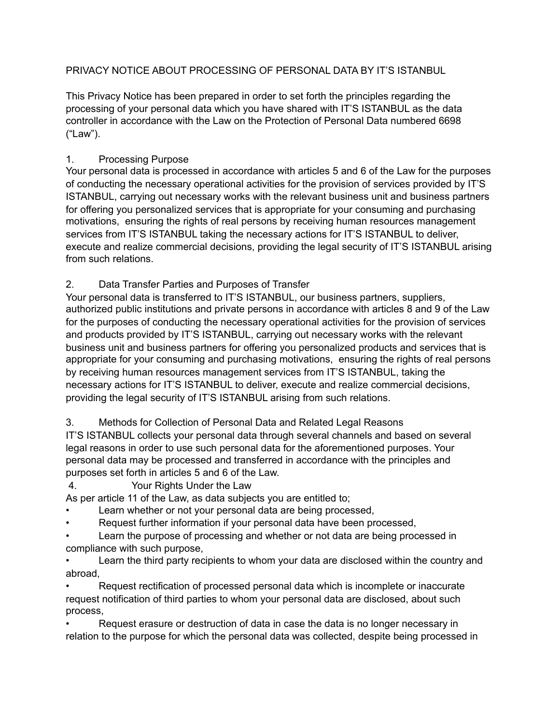### PRIVACY NOTICE ABOUT PROCESSING OF PERSONAL DATA BY IT'S ISTANBUL

This Privacy Notice has been prepared in order to set forth the principles regarding the processing of your personal data which you have shared with IT'S ISTANBUL as the data controller in accordance with the Law on the Protection of Personal Data numbered 6698 ("Law").

#### 1. Processing Purpose

Your personal data is processed in accordance with articles 5 and 6 of the Law for the purposes of conducting the necessary operational activities for the provision of services provided by IT'S ISTANBUL, carrying out necessary works with the relevant business unit and business partners for offering you personalized services that is appropriate for your consuming and purchasing motivations, ensuring the rights of real persons by receiving human resources management services from IT'S ISTANBUL taking the necessary actions for IT'S ISTANBUL to deliver, execute and realize commercial decisions, providing the legal security of IT'S ISTANBUL arising from such relations.

#### 2. Data Transfer Parties and Purposes of Transfer

Your personal data is transferred to IT'S ISTANBUL, our business partners, suppliers, authorized public institutions and private persons in accordance with articles 8 and 9 of the Law for the purposes of conducting the necessary operational activities for the provision of services and products provided by IT'S ISTANBUL, carrying out necessary works with the relevant business unit and business partners for offering you personalized products and services that is appropriate for your consuming and purchasing motivations, ensuring the rights of real persons by receiving human resources management services from IT'S ISTANBUL, taking the necessary actions for IT'S ISTANBUL to deliver, execute and realize commercial decisions, providing the legal security of IT'S ISTANBUL arising from such relations.

3. Methods for Collection of Personal Data and Related Legal Reasons

IT'S ISTANBUL collects your personal data through several channels and based on several legal reasons in order to use such personal data for the aforementioned purposes. Your personal data may be processed and transferred in accordance with the principles and purposes set forth in articles 5 and 6 of the Law.

4. Your Rights Under the Law

As per article 11 of the Law, as data subjects you are entitled to;

- Learn whether or not your personal data are being processed,
- Request further information if your personal data have been processed,

Learn the purpose of processing and whether or not data are being processed in compliance with such purpose,

• Learn the third party recipients to whom your data are disclosed within the country and abroad,

• Request rectification of processed personal data which is incomplete or inaccurate request notification of third parties to whom your personal data are disclosed, about such process,

• Request erasure or destruction of data in case the data is no longer necessary in relation to the purpose for which the personal data was collected, despite being processed in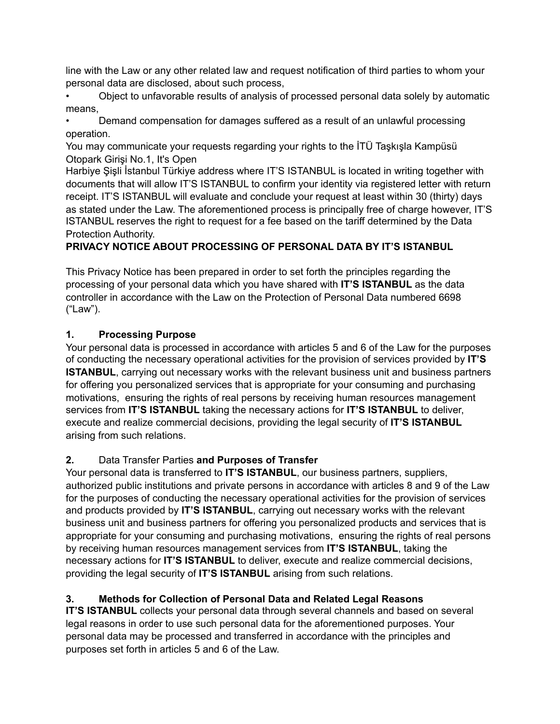line with the Law or any other related law and request notification of third parties to whom your personal data are disclosed, about such process,

• Object to unfavorable results of analysis of processed personal data solely by automatic means,

• Demand compensation for damages suffered as a result of an unlawful processing operation.

You may communicate your requests regarding your rights to the İTÜ Taşkışla Kampüsü Otopark Girişi No.1, It's Open

Harbiye Şişli İstanbul Türkiye address where IT'S ISTANBUL is located in writing together with documents that will allow IT'S ISTANBUL to confirm your identity via registered letter with return receipt. IT'S ISTANBUL will evaluate and conclude your request at least within 30 (thirty) days as stated under the Law. The aforementioned process is principally free of charge however, IT'S ISTANBUL reserves the right to request for a fee based on the tariff determined by the Data Protection Authority.

## **PRIVACY NOTICE ABOUT PROCESSING OF PERSONAL DATA BY IT'S ISTANBUL**

This Privacy Notice has been prepared in order to set forth the principles regarding the processing of your personal data which you have shared with **IT'S ISTANBUL** as the data controller in accordance with the Law on the Protection of Personal Data numbered 6698 ("Law").

## **1. Processing Purpose**

Your personal data is processed in accordance with articles 5 and 6 of the Law for the purposes of conducting the necessary operational activities for the provision of services provided by **IT'S ISTANBUL**, carrying out necessary works with the relevant business unit and business partners for offering you personalized services that is appropriate for your consuming and purchasing motivations, ensuring the rights of real persons by receiving human resources management services from **IT'S ISTANBUL** taking the necessary actions for **IT'S ISTANBUL** to deliver, execute and realize commercial decisions, providing the legal security of **IT'S ISTANBUL** arising from such relations.

# **2.** Data Transfer Parties **and Purposes of Transfer**

Your personal data is transferred to **IT'S ISTANBUL**, our business partners, suppliers, authorized public institutions and private persons in accordance with articles 8 and 9 of the Law for the purposes of conducting the necessary operational activities for the provision of services and products provided by **IT'S ISTANBUL**, carrying out necessary works with the relevant business unit and business partners for offering you personalized products and services that is appropriate for your consuming and purchasing motivations, ensuring the rights of real persons by receiving human resources management services from **IT'S ISTANBUL**, taking the necessary actions for **IT'S ISTANBUL** to deliver, execute and realize commercial decisions, providing the legal security of **IT'S ISTANBUL** arising from such relations.

# **3. Methods for Collection of Personal Data and Related Legal Reasons**

**IT'S ISTANBUL** collects your personal data through several channels and based on several legal reasons in order to use such personal data for the aforementioned purposes. Your personal data may be processed and transferred in accordance with the principles and purposes set forth in articles 5 and 6 of the Law.